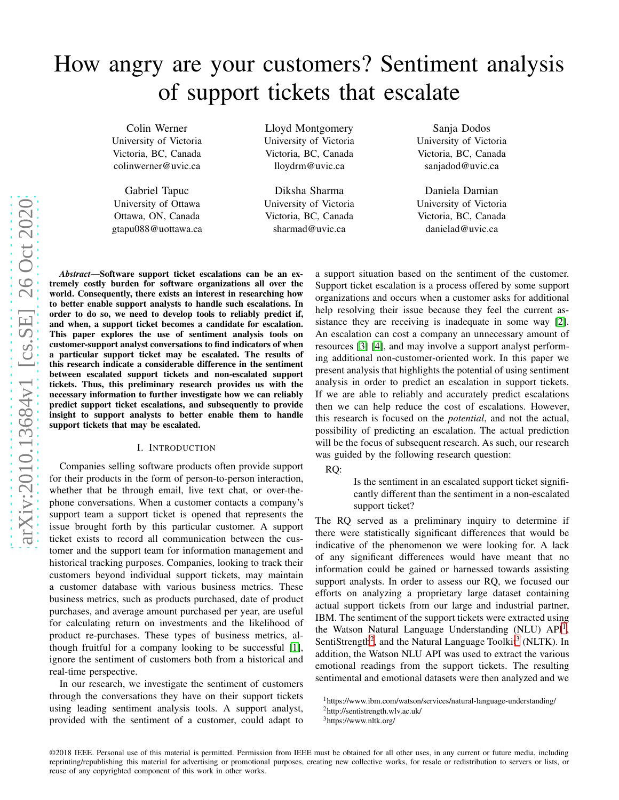# How angry are your customers? Sentiment analysis of support tickets that escalate

Colin Werner University of Victoria Victoria, BC, Canada colinwerner@uvic.ca

Gabriel Tapuc University of Ottawa Ottawa, ON, Canada gtapu088@uottawa.ca Lloyd Montgomery University of Victoria Victoria, BC, Canada lloydrm@uvic.ca

Diksha Sharma University of Victoria Victoria, BC, Canada sharmad@uvic.ca

Sanja Dodos University of Victoria Victoria, BC, Canada sanjadod@uvic.ca

Daniela Damian University of Victoria Victoria, BC, Canada danielad@uvic.ca

*Abstract*—Software support ticket escalations can be an extremely costly burden for software organizations all over the world. Consequently, there exists an interest in researching how to better enable support analysts to handle such escalations. In order to do so, we need to develop tools to reliably predict if, and when, a support ticket becomes a candidate for escalation. This paper explores the use of sentiment analysis tools on customer-support analyst conversations to find indicators of when a particular support ticket may be escalated. The results of this research indicate a considerable difference in the sentiment between escalated support tickets and non-escalated support tickets. Thus, this preliminary research provides us with the necessary information to further investigate how we can reliably predict support ticket escalations, and subsequently to provide insight to support analysts to better enable them to handle support tickets that may be escalated.

#### I. INTRODUCTION

Companies selling software products often provide support for their products in the form of person-to-person interaction, whether that be through email, live text chat, or over-thephone conversations. When a customer contacts a company's support team a support ticket is opened that represents the issue brought forth by this particular customer. A support ticket exists to record all communication between the customer and the support team for information management and historical tracking purposes. Companies, looking to track their customers beyond individual support tickets, may maintain a customer database with various business metrics. These business metrics, such as products purchased, date of product purchases, and average amount purchased per year, are usefu l for calculating return on investments and the likelihood of product re-purchases. These types of business metrics, although fruitful for a company looking to be successful [\[1\]](#page-6-0), ignore the sentiment of customers both from a historical and real-time perspective.

In our research, we investigate the sentiment of customers through the conversations they have on their support ticket s using leading sentiment analysis tools. A support analyst, provided with the sentiment of a customer, could adapt to a support situation based on the sentiment of the customer. Support ticket escalation is a process offered by some support organizations and occurs when a customer asks for additiona l help resolving their issue because they feel the current assistance they are receiving is inadequate in some way [\[2\]](#page-6-1). An escalation can cost a company an unnecessary amount of resources [\[3\]](#page-6-2) [\[4\]](#page-6-3), and may involve a support analyst perform ing additional non-customer-oriented work. In this paper w e present analysis that highlights the potential of using sentiment analysis in order to predict an escalation in support tickets. If we are able to reliably and accurately predict escalation s then we can help reduce the cost of escalations. However, this research is focused on the *potential*, and not the actual, possibility of predicting an escalation. The actual prediction will be the focus of subsequent research. As such, our research was guided by the following research question:

#### RQ:

Is the sentiment in an escalated support ticket significantly different than the sentiment in a non-escalated support ticket?

The RQ served as a preliminary inquiry to determine if there were statistically significant differences that would be indicative of the phenomenon we were looking for. A lack of any significant differences would have meant that no information could be gained or harnessed towards assisting support analysts. In order to assess our RQ, we focused our efforts on analyzing a proprietary large dataset containin g actual support tickets from our large and industrial partner, IBM. The sentiment of the support tickets were extracted using the Watson Natural Language Understanding (NLU) API<sup>[1](#page-0-0)</sup>, SentiStrength<sup>[2](#page-0-1)</sup>, and the Natural Language Toolkit<sup>[3](#page-0-2)</sup> (NLTK). In addition, the Watson NLU API was used to extract the various emotional readings from the support tickets. The resulting sentimental and emotional datasets were then analyzed and we

©2018 IEEE. Personal use of this material is permitted. Permission from IEEE must be obtained for all other uses, in any current or future media, including reprinting/republishing this material for advertising or promotional purposes, creating new collective works, for resale or redistribution to servers or lists, or reuse of any copyrighted component of this work in other works.

<sup>1</sup>https://www.ibm.com/watson/services/natural-language-understanding/

<span id="page-0-0"></span><sup>2</sup>http://sentistrength.wlv.ac.uk/

<span id="page-0-2"></span><span id="page-0-1"></span><sup>3</sup>https://www.nltk.org/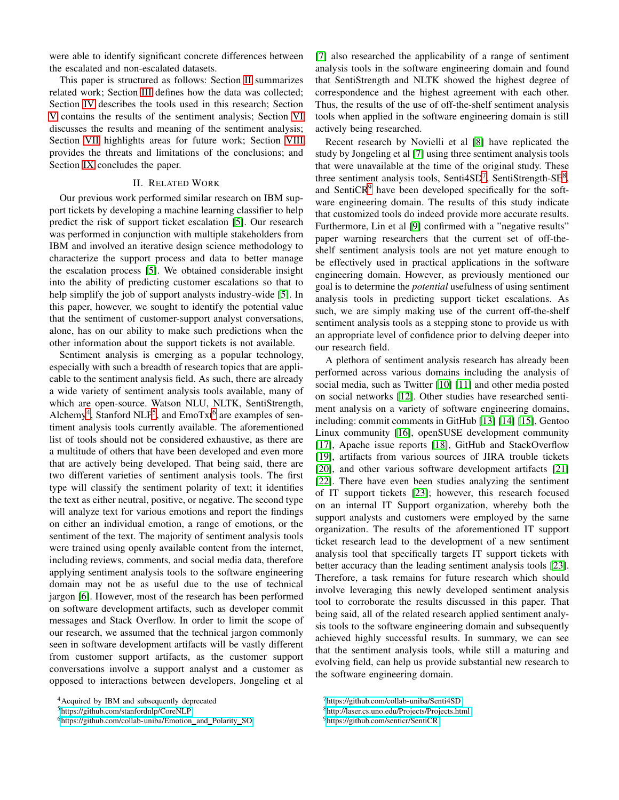were able to identify significant concrete differences between the escalated and non-escalated datasets.

This paper is structured as follows: Section [II](#page-1-0) summarizes related work; Section [III](#page-2-0) defines how the data was collected; Section [IV](#page-2-1) describes the tools used in this research; Section [V](#page-3-0) contains the results of the sentiment analysis; Section [VI](#page-4-0) discusses the results and meaning of the sentiment analysis; Section [VII](#page-5-0) highlights areas for future work; Section [VIII](#page-6-4) provides the threats and limitations of the conclusions; and Section [IX](#page-6-5) concludes the paper.

# II. RELATED WORK

<span id="page-1-0"></span>Our previous work performed similar research on IBM support tickets by developing a machine learning classifier to help predict the risk of support ticket escalation [\[5\]](#page-6-6). Our research was performed in conjunction with multiple stakeholders from IBM and involved an iterative design science methodology to characterize the support process and data to better manage the escalation process [\[5\]](#page-6-6). We obtained considerable insight into the ability of predicting customer escalations so that to help simplify the job of support analysts industry-wide [\[5\]](#page-6-6). In this paper, however, we sought to identify the potential value that the sentiment of customer-support analyst conversations, alone, has on our ability to make such predictions when the other information about the support tickets is not available.

Sentiment analysis is emerging as a popular technology, especially with such a breadth of research topics that are applicable to the sentiment analysis field. As such, there are already a wide variety of sentiment analysis tools available, many of which are open-source. Watson NLU, NLTK, SentiStrength, Alchemy<sup>[4](#page-1-1)</sup>, Stanford NLP<sup>[5](#page-1-2)</sup>, and EmoTxt<sup>[6](#page-1-3)</sup> are examples of sentiment analysis tools currently available. The aforementioned list of tools should not be considered exhaustive, as there are a multitude of others that have been developed and even more that are actively being developed. That being said, there are two different varieties of sentiment analysis tools. The first type will classify the sentiment polarity of text; it identifies the text as either neutral, positive, or negative. The second type will analyze text for various emotions and report the findings on either an individual emotion, a range of emotions, or the sentiment of the text. The majority of sentiment analysis tools were trained using openly available content from the internet, including reviews, comments, and social media data, therefore applying sentiment analysis tools to the software engineering domain may not be as useful due to the use of technical jargon [\[6\]](#page-6-7). However, most of the research has been performed on software development artifacts, such as developer commit messages and Stack Overflow. In order to limit the scope of our research, we assumed that the technical jargon commonly seen in software development artifacts will be vastly different from customer support artifacts, as the customer support conversations involve a support analyst and a customer as opposed to interactions between developers. Jongeling et al

[\[7\]](#page-6-8) also researched the applicability of a range of sentiment analysis tools in the software engineering domain and found that SentiStrength and NLTK showed the highest degree of correspondence and the highest agreement with each other. Thus, the results of the use of off-the-shelf sentiment analysis tools when applied in the software engineering domain is still actively being researched.

Recent research by Novielli et al [\[8\]](#page-6-9) have replicated the study by Jongeling et al [\[7\]](#page-6-8) using three sentiment analysis tools that were unavailable at the time of the original study. These three sentiment analysis tools, Senti $4SD<sup>7</sup>$  $4SD<sup>7</sup>$  $4SD<sup>7</sup>$ , SentiStrength-SE<sup>[8](#page-1-5)</sup>, and Senti $CR<sup>9</sup>$  $CR<sup>9</sup>$  $CR<sup>9</sup>$  have been developed specifically for the software engineering domain. The results of this study indicate that customized tools do indeed provide more accurate results. Furthermore, Lin et al [\[9\]](#page-6-10) confirmed with a "negative results" paper warning researchers that the current set of off-theshelf sentiment analysis tools are not yet mature enough to be effectively used in practical applications in the software engineering domain. However, as previously mentioned our goal is to determine the *potential* usefulness of using sentiment analysis tools in predicting support ticket escalations. As such, we are simply making use of the current off-the-shelf sentiment analysis tools as a stepping stone to provide us with an appropriate level of confidence prior to delving deeper into our research field.

A plethora of sentiment analysis research has already been performed across various domains including the analysis of social media, such as Twitter [\[10\]](#page-6-11) [\[11\]](#page-6-12) and other media posted on social networks [\[12\]](#page-6-13). Other studies have researched sentiment analysis on a variety of software engineering domains, including: commit comments in GitHub [\[13\]](#page-6-14) [\[14\]](#page-7-0) [\[15\]](#page-7-1), Gentoo Linux community [\[16\]](#page-7-2), openSUSE development community [\[17\]](#page-7-3), Apache issue reports [\[18\]](#page-7-4), GitHub and StackOverflow [\[19\]](#page-7-5), artifacts from various sources of JIRA trouble tickets [\[20\]](#page-7-6), and other various software development artifacts [\[21\]](#page-7-7) [\[22\]](#page-7-8). There have even been studies analyzing the sentiment of IT support tickets [\[23\]](#page-7-9); however, this research focused on an internal IT Support organization, whereby both the support analysts and customers were employed by the same organization. The results of the aforementioned IT support ticket research lead to the development of a new sentiment analysis tool that specifically targets IT support tickets with better accuracy than the leading sentiment analysis tools [\[23\]](#page-7-9). Therefore, a task remains for future research which should involve leveraging this newly developed sentiment analysis tool to corroborate the results discussed in this paper. That being said, all of the related research applied sentiment analysis tools to the software engineering domain and subsequently achieved highly successful results. In summary, we can see that the sentiment analysis tools, while still a maturing and evolving field, can help us provide substantial new research to the software engineering domain.

<sup>4</sup>Acquired by IBM and subsequently deprecated

<span id="page-1-1"></span><sup>5</sup><https://github.com/stanfordnlp/CoreNLP>

<span id="page-1-3"></span><span id="page-1-2"></span><sup>&</sup>lt;sup>6</sup>[https://github.com/collab-uniba/Emotion](https://github.com/collab-uniba/Emotion_and_Polarity_SO)\_and\_Polarity\_SO

<sup>7</sup><https://github.com/collab-uniba/Senti4SD>

<span id="page-1-4"></span><sup>8</sup><http://laser.cs.uno.edu/Projects/Projects.html>

<span id="page-1-6"></span><span id="page-1-5"></span><sup>9</sup><https://github.com/senticr/SentiCR>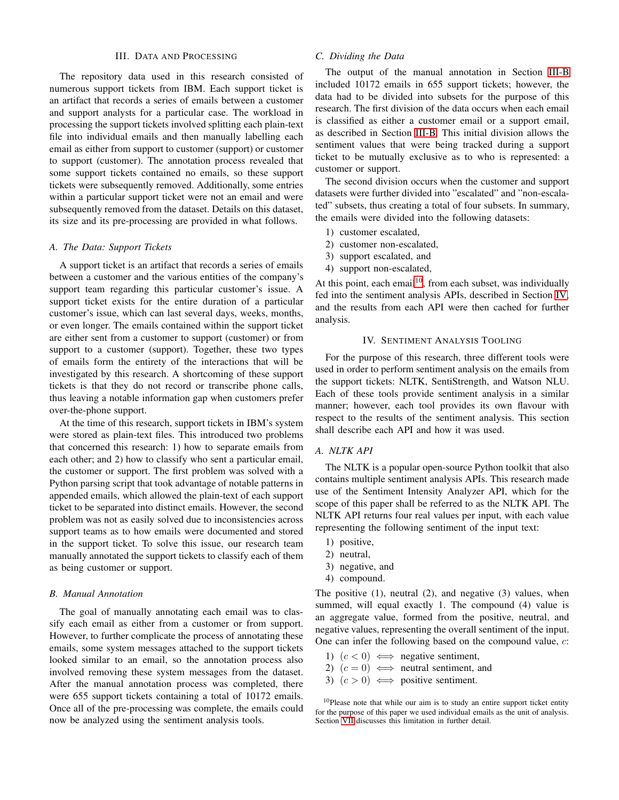## III. DATA AND PROCESSING

<span id="page-2-0"></span>The repository data used in this research consisted of numerous support tickets from IBM. Each support ticket is an artifact that records a series of emails between a customer and support analysts for a particular case. The workload in processing the support tickets involved splitting each plain-text file into individual emails and then manually labelling each email as either from support to customer (support) or customer to support (customer). The annotation process revealed that some support tickets contained no emails, so these support tickets were subsequently removed. Additionally, some entries within a particular support ticket were not an email and were subsequently removed from the dataset. Details on this dataset, its size and its pre-processing are provided in what follows.

#### *A. The Data: Support Tickets*

A support ticket is an artifact that records a series of emails between a customer and the various entities of the company's support team regarding this particular customer's issue. A support ticket exists for the entire duration of a particular customer's issue, which can last several days, weeks, months, or even longer. The emails contained within the support ticket are either sent from a customer to support (customer) or from support to a customer (support). Together, these two types of emails form the entirety of the interactions that will be investigated by this research. A shortcoming of these support tickets is that they do not record or transcribe phone calls, thus leaving a notable information gap when customers prefer over-the-phone support.

At the time of this research, support tickets in IBM's system were stored as plain-text files. This introduced two problems that concerned this research: 1) how to separate emails from each other; and 2) how to classify who sent a particular email, the customer or support. The first problem was solved with a Python parsing script that took advantage of notable patterns in appended emails, which allowed the plain-text of each support ticket to be separated into distinct emails. However, the second problem was not as easily solved due to inconsistencies across support teams as to how emails were documented and stored in the support ticket. To solve this issue, our research team manually annotated the support tickets to classify each of them as being customer or support.

## <span id="page-2-2"></span>*B. Manual Annotation*

The goal of manually annotating each email was to classify each email as either from a customer or from support. However, to further complicate the process of annotating these emails, some system messages attached to the support tickets looked similar to an email, so the annotation process also involved removing these system messages from the dataset. After the manual annotation process was completed, there were 655 support tickets containing a total of 10172 emails. Once all of the pre-processing was complete, the emails could now be analyzed using the sentiment analysis tools.

# <span id="page-2-4"></span>*C. Dividing the Data*

The output of the manual annotation in Section [III-B](#page-2-2) included 10172 emails in 655 support tickets; however, the data had to be divided into subsets for the purpose of this research. The first division of the data occurs when each email is classified as either a customer email or a support email, as described in Section [III-B.](#page-2-2) This initial division allows the sentiment values that were being tracked during a support ticket to be mutually exclusive as to who is represented: a customer or support.

The second division occurs when the customer and support datasets were further divided into "escalated" and "non-escalated" subsets, thus creating a total of four subsets. In summary, the emails were divided into the following datasets:

- 1) customer escalated,
- 2) customer non-escalated,
- 3) support escalated, and
- 4) support non-escalated,

At this point, each email<sup>[10](#page-2-3)</sup>, from each subset, was individually fed into the sentiment analysis APIs, described in Section [IV,](#page-2-1) and the results from each API were then cached for further analysis.

## IV. SENTIMENT ANALYSIS TOOLING

<span id="page-2-1"></span>For the purpose of this research, three different tools were used in order to perform sentiment analysis on the emails from the support tickets: NLTK, SentiStrength, and Watson NLU. Each of these tools provide sentiment analysis in a similar manner; however, each tool provides its own flavour with respect to the results of the sentiment analysis. This section shall describe each API and how it was used.

# *A. NLTK API*

The NLTK is a popular open-source Python toolkit that also contains multiple sentiment analysis APIs. This research made use of the Sentiment Intensity Analyzer API, which for the scope of this paper shall be referred to as the NLTK API. The NLTK API returns four real values per input, with each value representing the following sentiment of the input text:

- 1) positive,
- 2) neutral,
- 3) negative, and
- 4) compound.

The positive (1), neutral (2), and negative (3) values, when summed, will equal exactly 1. The compound (4) value is an aggregate value, formed from the positive, neutral, and negative values, representing the overall sentiment of the input. One can infer the following based on the compound value, c:

- 1)  $(c < 0) \iff$  negative sentiment,
- 2)  $(c = 0) \iff$  neutral sentiment, and
- 3)  $(c > 0) \iff$  positive sentiment.

<span id="page-2-3"></span><sup>&</sup>lt;sup>10</sup>Please note that while our aim is to study an entire support ticket entity for the purpose of this paper we used individual emails as the unit of analysis. Section [VII](#page-5-0) discusses this limitation in further detail.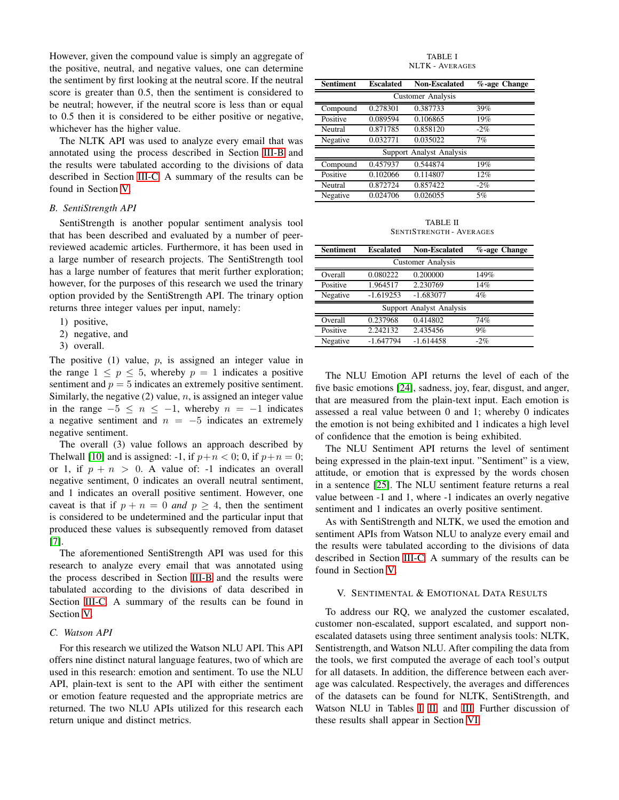However, given the compound value is simply an aggregate of the positive, neutral, and negative values, one can determine the sentiment by first looking at the neutral score. If the neutral score is greater than 0.5, then the sentiment is considered to be neutral; however, if the neutral score is less than or equal to 0.5 then it is considered to be either positive or negative, whichever has the higher value.

The NLTK API was used to analyze every email that was annotated using the process described in Section [III-B](#page-2-2) and the results were tabulated according to the divisions of data described in Section [III-C.](#page-2-4) A summary of the results can be found in Section [V.](#page-3-0)

#### *B. SentiStrength API*

SentiStrength is another popular sentiment analysis tool that has been described and evaluated by a number of peerreviewed academic articles. Furthermore, it has been used in a large number of research projects. The SentiStrength tool has a large number of features that merit further exploration; however, for the purposes of this research we used the trinary option provided by the SentiStrength API. The trinary option returns three integer values per input, namely:

1) positive,

- 2) negative, and
- 3) overall.

The positive  $(1)$  value,  $p$ , is assigned an integer value in the range  $1 \leq p \leq 5$ , whereby  $p = 1$  indicates a positive sentiment and  $p = 5$  indicates an extremely positive sentiment. Similarly, the negative  $(2)$  value, n, is assigned an integer value in the range  $-5 \le n \le -1$ , whereby  $n = -1$  indicates a negative sentiment and  $n = -5$  indicates an extremely negative sentiment.

The overall (3) value follows an approach described by Thelwall [\[10\]](#page-6-11) and is assigned: -1, if  $p+n < 0$ ; 0, if  $p+n = 0$ ; or 1, if  $p + n > 0$ . A value of: -1 indicates an overall negative sentiment, 0 indicates an overall neutral sentiment, and 1 indicates an overall positive sentiment. However, one caveat is that if  $p + n = 0$  *and*  $p \ge 4$ , then the sentiment is considered to be undetermined and the particular input that produced these values is subsequently removed from dataset [\[7\]](#page-6-8).

The aforementioned SentiStrength API was used for this research to analyze every email that was annotated using the process described in Section [III-B](#page-2-2) and the results were tabulated according to the divisions of data described in Section [III-C.](#page-2-4) A summary of the results can be found in Section [V.](#page-3-0)

# *C. Watson API*

For this research we utilized the Watson NLU API. This API offers nine distinct natural language features, two of which are used in this research: emotion and sentiment. To use the NLU API, plain-text is sent to the API with either the sentiment or emotion feature requested and the appropriate metrics are returned. The two NLU APIs utilized for this research each return unique and distinct metrics.

TABLE I NLTK - AVERAGES

<span id="page-3-1"></span>

| <b>Sentiment</b>         | <b>Escalated</b> | <b>Non-Escalated</b> | %-age Change |  |
|--------------------------|------------------|----------------------|--------------|--|
| Customer Analysis        |                  |                      |              |  |
| Compound                 | 0.278301         | 0.387733             | 39%          |  |
| <b>Positive</b>          | 0.089594         | 0.106865             | 19%          |  |
| Neutral                  | 0.871785         | 0.858120             | $-2%$        |  |
| Negative                 | 0.032771         | 0.035022             | 7%           |  |
| Support Analyst Analysis |                  |                      |              |  |
| Compound                 | 0.457937         | 0.544874             | 19%          |  |
| Positive                 | 0.102066         | 0.114807             | 12%          |  |
| Neutral                  | 0.872724         | 0.857422             | $-2%$        |  |
| Negative                 | 0.024706         | 0.026055             | 5%           |  |

TABLE II SENTISTRENGTH - AVERAGES

<span id="page-3-2"></span>

| <b>Sentiment</b>                | <b>Escalated</b> | <b>Non-Escalated</b> | %-age Change |  |  |
|---------------------------------|------------------|----------------------|--------------|--|--|
| <b>Customer Analysis</b>        |                  |                      |              |  |  |
| Overall                         | 0.080222         | 0.200000             | 149%         |  |  |
| Positive                        | 1.964517         | 2.230769             | 14%          |  |  |
| Negative                        | $-1.619253$      | $-1.683077$          | 4%           |  |  |
| <b>Support Analyst Analysis</b> |                  |                      |              |  |  |
| Overall                         | 0.237968         | 0.414802             | 74%          |  |  |
| Positive                        | 2.242132         | 2.435456             | 9%           |  |  |
| Negative                        | $-1.647794$      | $-1.614458$          | $-2%$        |  |  |

The NLU Emotion API returns the level of each of the five basic emotions [\[24\]](#page-7-10), sadness, joy, fear, disgust, and anger, that are measured from the plain-text input. Each emotion is assessed a real value between 0 and 1; whereby 0 indicates the emotion is not being exhibited and 1 indicates a high level of confidence that the emotion is being exhibited.

The NLU Sentiment API returns the level of sentiment being expressed in the plain-text input. "Sentiment" is a view, attitude, or emotion that is expressed by the words chosen in a sentence [\[25\]](#page-7-11). The NLU sentiment feature returns a real value between -1 and 1, where -1 indicates an overly negative sentiment and 1 indicates an overly positive sentiment.

As with SentiStrength and NLTK, we used the emotion and sentiment APIs from Watson NLU to analyze every email and the results were tabulated according to the divisions of data described in Section [III-C.](#page-2-4) A summary of the results can be found in Section [V.](#page-3-0)

## <span id="page-3-0"></span>V. SENTIMENTAL & EMOTIONAL DATA RESULTS

To address our RQ, we analyzed the customer escalated, customer non-escalated, support escalated, and support nonescalated datasets using three sentiment analysis tools: NLTK, Sentistrength, and Watson NLU. After compiling the data from the tools, we first computed the average of each tool's output for all datasets. In addition, the difference between each average was calculated. Respectively, the averages and differences of the datasets can be found for NLTK, SentiStrength, and Watson NLU in Tables [I,](#page-3-1) [II,](#page-3-2) and [III.](#page-4-1) Further discussion of these results shall appear in Section [VI.](#page-4-0)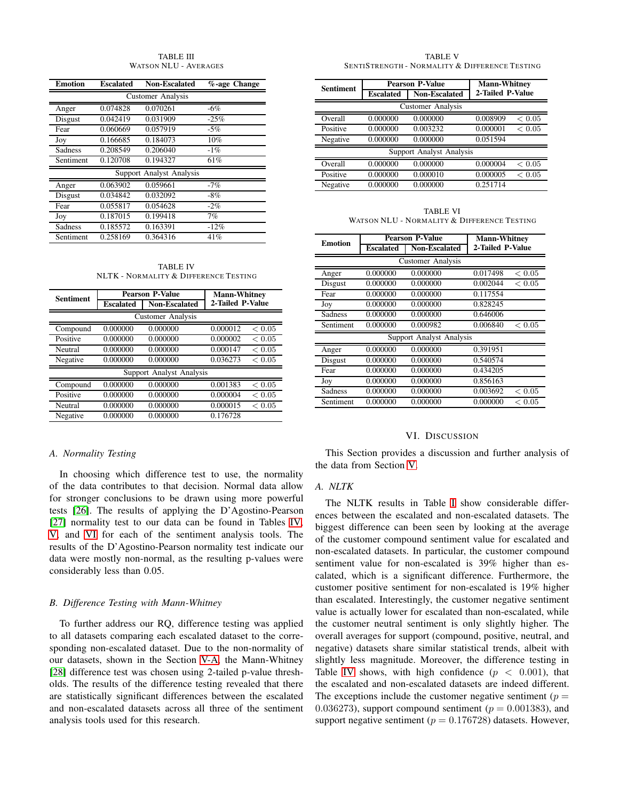TABLE III WATSON NLU - AVERAGES

<span id="page-4-1"></span>

| <b>Emotion</b>                  | <b>Escalated</b> | <b>Non-Escalated</b> | %-age Change |  |  |
|---------------------------------|------------------|----------------------|--------------|--|--|
| <b>Customer Analysis</b>        |                  |                      |              |  |  |
| Anger                           | 0.074828         | 0.070261             | $-6\%$       |  |  |
| Disgust                         | 0.042419         | 0.031909             | $-25%$       |  |  |
| Fear                            | 0.060669         | 0.057919             | $-5%$        |  |  |
| Joy                             | 0.166685         | 0.184073             | 10%          |  |  |
| Sadness                         | 0.208549         | 0.206040             | $-1\%$       |  |  |
| Sentiment                       | 0.120708         | 0.194327             | 61%          |  |  |
| <b>Support Analyst Analysis</b> |                  |                      |              |  |  |
| Anger                           | 0.063902         | 0.059661             | $-7%$        |  |  |
| Disgust                         | 0.034842         | 0.032092             | $-8%$        |  |  |
| Fear                            | 0.055817         | 0.054628             | $-2%$        |  |  |
| Joy                             | 0.187015         | 0.199418             | 7%           |  |  |
| <b>Sadness</b>                  | 0.185572         | 0.163391             | $-12%$       |  |  |
| Sentiment                       | 0.258169         | 0.364316             | 41%          |  |  |

TABLE IV NLTK - NORMALITY & DIFFERENCE TESTING

<span id="page-4-2"></span>

| <b>Sentiment</b>                | <b>Pearson P-Value</b>   |                      | <b>Mann-Whitney</b>       |  |  |
|---------------------------------|--------------------------|----------------------|---------------------------|--|--|
|                                 | <b>Escalated</b>         | <b>Non-Escalated</b> | 2-Tailed P-Value          |  |  |
|                                 | <b>Customer Analysis</b> |                      |                           |  |  |
| Compound                        | 0.000000                 | 0.000000             | 0.000012<br>${}< 0.05$    |  |  |
| Positive                        | 0.000000                 | 0.000000             | 0.000002<br>${}_{< 0.05}$ |  |  |
| Neutral                         | 0.000000                 | 0.000000             | 0.000147<br>${}_{< 0.05}$ |  |  |
| Negative                        | 0.000000                 | 0.000000             | 0.036273<br>${}_{< 0.05}$ |  |  |
| <b>Support Analyst Analysis</b> |                          |                      |                           |  |  |
| Compound                        | 0.000000                 | 0.000000             | 0.001383<br>${}_{< 0.05}$ |  |  |
| Positive                        | 0.000000                 | 0.000000             | 0.000004<br>${}_{< 0.05}$ |  |  |
| Neutral                         | 0.000000                 | 0.000000             | 0.000015<br>${}_{< 0.05}$ |  |  |
| Negative                        | 0.000000                 | 0.000000             | 0.176728                  |  |  |

TABLE V SENTISTRENGTH - NORMALITY & DIFFERENCE TESTING

<span id="page-4-3"></span>

| <b>Sentiment</b>                | <b>Pearson P-Value</b> |                      | <b>Mann-Whitney</b> |            |
|---------------------------------|------------------------|----------------------|---------------------|------------|
|                                 | <b>Escalated</b>       | <b>Non-Escalated</b> | 2-Tailed P-Value    |            |
| <b>Customer Analysis</b>        |                        |                      |                     |            |
| Overall                         | 0.000000               | 0.000000             | 0.008909            | ${}< 0.05$ |
| Positive                        | 0.000000               | 0.003232             | 0.000001            | ${}< 0.05$ |
| Negative                        | 0.000000               | 0.000000             | 0.051594            |            |
| <b>Support Analyst Analysis</b> |                        |                      |                     |            |
| Overall                         | 0.000000               | 0.000000             | 0.000004            | ${}< 0.05$ |
| Positive                        | 0.000000               | 0.000010             | 0.000005            | ${}< 0.05$ |
| Negative                        | 0.000000               | 0.000000             | 0.251714            |            |

TABLE VI WATSON NLU - NORMALITY & DIFFERENCE TESTING

<span id="page-4-4"></span>

| <b>Emotion</b>           | <b>Pearson P-Value</b> |                                 | <b>Mann-Whitney</b>          |  |
|--------------------------|------------------------|---------------------------------|------------------------------|--|
|                          | <b>Escalated</b>       | <b>Non-Escalated</b>            | 2-Tailed P-Value             |  |
| <b>Customer Analysis</b> |                        |                                 |                              |  |
| Anger                    | 0.000000               | 0.000000                        | 0.017498<br>${}< 0.05$       |  |
| Disgust                  | 0.000000               | 0.000000                        | 0.002044<br>${}< 0.05$       |  |
| Fear                     | 0.000000               | 0.000000                        | 0.117554                     |  |
| Joy                      | 0.000000               | 0.000000                        | 0.828245                     |  |
| <b>Sadness</b>           | 0.000000               | 0.000000                        | 0.646006                     |  |
| Sentiment                | 0.000000               | 0.000982                        | 0.006840<br>${}_{< 0.05}$    |  |
|                          |                        | <b>Support Analyst Analysis</b> |                              |  |
| Anger                    | 0.000000               | 0.000000                        | 0.391951                     |  |
| Disgust                  | 0.000000               | 0.000000                        | 0.540574                     |  |
| Fear                     | 0.000000               | 0.000000                        | 0.434205                     |  |
| Joy                      | 0.000000               | 0.000000                        | 0.856163                     |  |
| Sadness                  | 0.000000               | 0.000000                        | 0.003692<br>${}_{\leq 0.05}$ |  |
| Sentiment                | 0.000000               | 0.000000                        | 0.000000<br>< 0.05           |  |

## VI. DISCUSSION

# <span id="page-4-5"></span>*A. Normality Testing*

In choosing which difference test to use, the normality of the data contributes to that decision. Normal data allow for stronger conclusions to be drawn using more powerful tests [\[26\]](#page-7-12). The results of applying the D'Agostino-Pearson [\[27\]](#page-7-13) normality test to our data can be found in Tables [IV,](#page-4-2) [V,](#page-4-3) and [VI](#page-4-4) for each of the sentiment analysis tools. The results of the D'Agostino-Pearson normality test indicate our data were mostly non-normal, as the resulting p-values were considerably less than 0.05.

#### *B. Difference Testing with Mann-Whitney*

To further address our RQ, difference testing was applied to all datasets comparing each escalated dataset to the corresponding non-escalated dataset. Due to the non-normality of our datasets, shown in the Section [V-A,](#page-4-5) the Mann-Whitney [\[28\]](#page-7-14) difference test was chosen using 2-tailed p-value thresholds. The results of the difference testing revealed that there are statistically significant differences between the escalated and non-escalated datasets across all three of the sentiment analysis tools used for this research.

<span id="page-4-0"></span>This Section provides a discussion and further analysis of the data from Section [V.](#page-3-0)

# *A. NLTK*

The NLTK results in Table [I](#page-3-1) show considerable differences between the escalated and non-escalated datasets. The biggest difference can been seen by looking at the average of the customer compound sentiment value for escalated and non-escalated datasets. In particular, the customer compound sentiment value for non-escalated is 39% higher than escalated, which is a significant difference. Furthermore, the customer positive sentiment for non-escalated is 19% higher than escalated. Interestingly, the customer negative sentiment value is actually lower for escalated than non-escalated, while the customer neutral sentiment is only slightly higher. The overall averages for support (compound, positive, neutral, and negative) datasets share similar statistical trends, albeit with slightly less magnitude. Moreover, the difference testing in Table [IV](#page-4-2) shows, with high confidence ( $p < 0.001$ ), that the escalated and non-escalated datasets are indeed different. The exceptions include the customer negative sentiment ( $p =$ 0.036273), support compound sentiment ( $p = 0.001383$ ), and support negative sentiment ( $p = 0.176728$ ) datasets. However,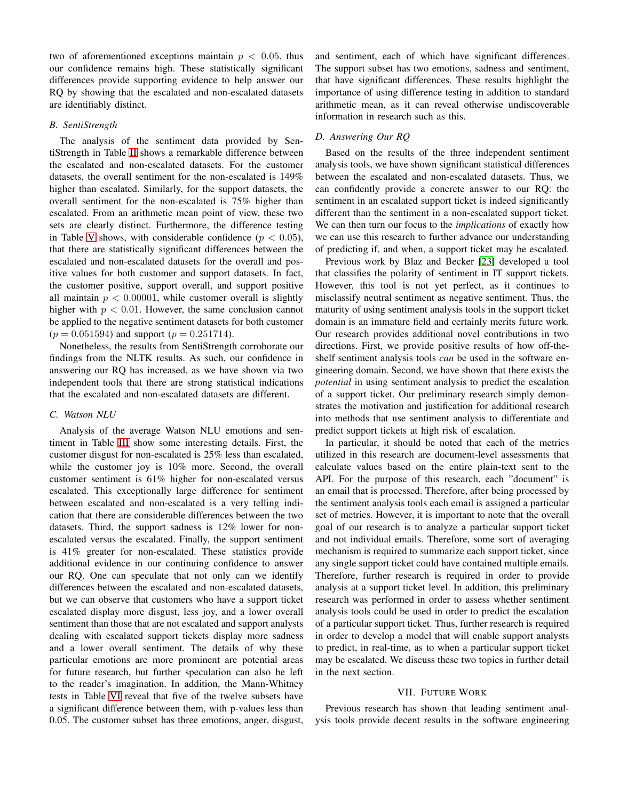two of aforementioned exceptions maintain  $p < 0.05$ , thus our confidence remains high. These statistically significant differences provide supporting evidence to help answer our RQ by showing that the escalated and non-escalated datasets are identifiably distinct.

#### *B. SentiStrength*

The analysis of the sentiment data provided by SentiStrength in Table [II](#page-3-2) shows a remarkable difference between the escalated and non-escalated datasets. For the customer datasets, the overall sentiment for the non-escalated is 149% higher than escalated. Similarly, for the support datasets, the overall sentiment for the non-escalated is 75% higher than escalated. From an arithmetic mean point of view, these two sets are clearly distinct. Furthermore, the difference testing in Table [V](#page-4-3) shows, with considerable confidence ( $p < 0.05$ ), that there are statistically significant differences between the escalated and non-escalated datasets for the overall and positive values for both customer and support datasets. In fact, the customer positive, support overall, and support positive all maintain  $p < 0.00001$ , while customer overall is slightly higher with  $p < 0.01$ . However, the same conclusion cannot be applied to the negative sentiment datasets for both customer  $(p = 0.051594)$  and support  $(p = 0.251714)$ .

Nonetheless, the results from SentiStrength corroborate our findings from the NLTK results. As such, our confidence in answering our RQ has increased, as we have shown via two independent tools that there are strong statistical indications that the escalated and non-escalated datasets are different.

# *C. Watson NLU*

Analysis of the average Watson NLU emotions and sentiment in Table [III](#page-4-1) show some interesting details. First, the customer disgust for non-escalated is 25% less than escalated, while the customer joy is 10% more. Second, the overall customer sentiment is 61% higher for non-escalated versus escalated. This exceptionally large difference for sentiment between escalated and non-escalated is a very telling indication that there are considerable differences between the two datasets. Third, the support sadness is 12% lower for nonescalated versus the escalated. Finally, the support sentiment is 41% greater for non-escalated. These statistics provide additional evidence in our continuing confidence to answer our RQ. One can speculate that not only can we identify differences between the escalated and non-escalated datasets, but we can observe that customers who have a support ticket escalated display more disgust, less joy, and a lower overall sentiment than those that are not escalated and support analysts dealing with escalated support tickets display more sadness and a lower overall sentiment. The details of why these particular emotions are more prominent are potential areas for future research, but further speculation can also be left to the reader's imagination. In addition, the Mann-Whitney tests in Table [VI](#page-4-4) reveal that five of the twelve subsets have a significant difference between them, with p-values less than 0.05. The customer subset has three emotions, anger, disgust, and sentiment, each of which have significant differences. The support subset has two emotions, sadness and sentiment, that have significant differences. These results highlight the importance of using difference testing in addition to standard arithmetic mean, as it can reveal otherwise undiscoverable information in research such as this.

## *D. Answering Our RQ*

Based on the results of the three independent sentiment analysis tools, we have shown significant statistical differences between the escalated and non-escalated datasets. Thus, we can confidently provide a concrete answer to our RQ: the sentiment in an escalated support ticket is indeed significantly different than the sentiment in a non-escalated support ticket. We can then turn our focus to the *implications* of exactly how we can use this research to further advance our understanding of predicting if, and when, a support ticket may be escalated.

Previous work by Blaz and Becker [\[23\]](#page-7-9) developed a tool that classifies the polarity of sentiment in IT support tickets. However, this tool is not yet perfect, as it continues to misclassify neutral sentiment as negative sentiment. Thus, the maturity of using sentiment analysis tools in the support ticket domain is an immature field and certainly merits future work. Our research provides additional novel contributions in two directions. First, we provide positive results of how off-theshelf sentiment analysis tools *can* be used in the software engineering domain. Second, we have shown that there exists the *potential* in using sentiment analysis to predict the escalation of a support ticket. Our preliminary research simply demonstrates the motivation and justification for additional research into methods that use sentiment analysis to differentiate and predict support tickets at high risk of escalation.

In particular, it should be noted that each of the metrics utilized in this research are document-level assessments that calculate values based on the entire plain-text sent to the API. For the purpose of this research, each "document" is an email that is processed. Therefore, after being processed by the sentiment analysis tools each email is assigned a particular set of metrics. However, it is important to note that the overall goal of our research is to analyze a particular support ticket and not individual emails. Therefore, some sort of averaging mechanism is required to summarize each support ticket, since any single support ticket could have contained multiple emails. Therefore, further research is required in order to provide analysis at a support ticket level. In addition, this preliminary research was performed in order to assess whether sentiment analysis tools could be used in order to predict the escalation of a particular support ticket. Thus, further research is required in order to develop a model that will enable support analysts to predict, in real-time, as to when a particular support ticket may be escalated. We discuss these two topics in further detail in the next section.

#### VII. FUTURE WORK

<span id="page-5-0"></span>Previous research has shown that leading sentiment analysis tools provide decent results in the software engineering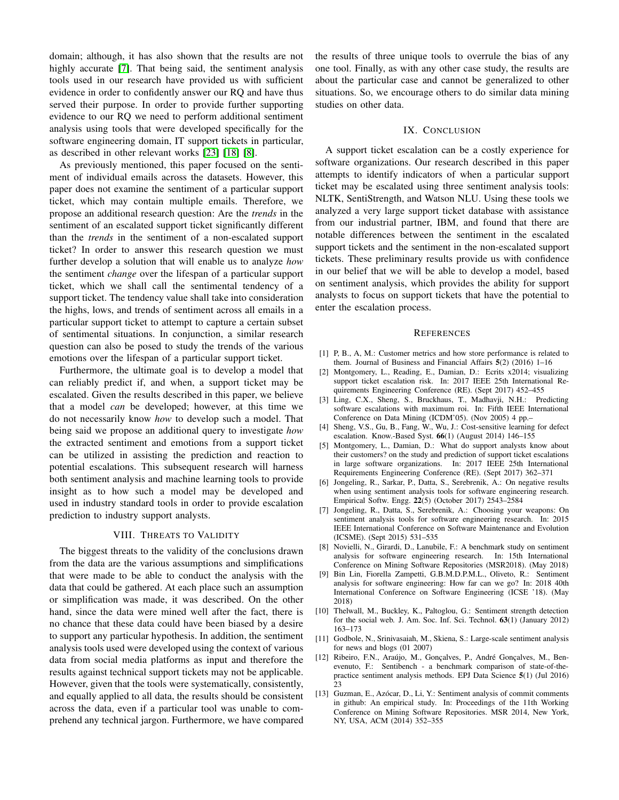domain; although, it has also shown that the results are not highly accurate [\[7\]](#page-6-8). That being said, the sentiment analysis tools used in our research have provided us with sufficient evidence in order to confidently answer our RQ and have thus served their purpose. In order to provide further supporting evidence to our RQ we need to perform additional sentiment analysis using tools that were developed specifically for the software engineering domain, IT support tickets in particular, as described in other relevant works [\[23\]](#page-7-9) [\[18\]](#page-7-4) [\[8\]](#page-6-9).

As previously mentioned, this paper focused on the sentiment of individual emails across the datasets. However, this paper does not examine the sentiment of a particular support ticket, which may contain multiple emails. Therefore, we propose an additional research question: Are the *trends* in the sentiment of an escalated support ticket significantly different than the *trends* in the sentiment of a non-escalated support ticket? In order to answer this research question we must further develop a solution that will enable us to analyze *how* the sentiment *change* over the lifespan of a particular support ticket, which we shall call the sentimental tendency of a support ticket. The tendency value shall take into consideration the highs, lows, and trends of sentiment across all emails in a particular support ticket to attempt to capture a certain subset of sentimental situations. In conjunction, a similar research question can also be posed to study the trends of the various emotions over the lifespan of a particular support ticket.

Furthermore, the ultimate goal is to develop a model that can reliably predict if, and when, a support ticket may be escalated. Given the results described in this paper, we believe that a model *can* be developed; however, at this time we do not necessarily know *how* to develop such a model. That being said we propose an additional query to investigate *how* the extracted sentiment and emotions from a support ticket can be utilized in assisting the prediction and reaction to potential escalations. This subsequent research will harness both sentiment analysis and machine learning tools to provide insight as to how such a model may be developed and used in industry standard tools in order to provide escalation prediction to industry support analysts.

#### VIII. THREATS TO VALIDITY

<span id="page-6-4"></span>The biggest threats to the validity of the conclusions drawn from the data are the various assumptions and simplifications that were made to be able to conduct the analysis with the data that could be gathered. At each place such an assumption or simplification was made, it was described. On the other hand, since the data were mined well after the fact, there is no chance that these data could have been biased by a desire to support any particular hypothesis. In addition, the sentiment analysis tools used were developed using the context of various data from social media platforms as input and therefore the results against technical support tickets may not be applicable. However, given that the tools were systematically, consistently, and equally applied to all data, the results should be consistent across the data, even if a particular tool was unable to comprehend any technical jargon. Furthermore, we have compared the results of three unique tools to overrule the bias of any one tool. Finally, as with any other case study, the results are about the particular case and cannot be generalized to other situations. So, we encourage others to do similar data mining studies on other data.

#### IX. CONCLUSION

<span id="page-6-5"></span>A support ticket escalation can be a costly experience for software organizations. Our research described in this paper attempts to identify indicators of when a particular support ticket may be escalated using three sentiment analysis tools: NLTK, SentiStrength, and Watson NLU. Using these tools we analyzed a very large support ticket database with assistance from our industrial partner, IBM, and found that there are notable differences between the sentiment in the escalated support tickets and the sentiment in the non-escalated support tickets. These preliminary results provide us with confidence in our belief that we will be able to develop a model, based on sentiment analysis, which provides the ability for support analysts to focus on support tickets that have the potential to enter the escalation process.

#### **REFERENCES**

- <span id="page-6-0"></span>[1] P, B., A, M.: Customer metrics and how store performance is related to them. Journal of Business and Financial Affairs 5(2) (2016) 1–16
- <span id="page-6-1"></span>[2] Montgomery, L., Reading, E., Damian, D.: Ecrits x2014; visualizing support ticket escalation risk. In: 2017 IEEE 25th International Requirements Engineering Conference (RE). (Sept 2017) 452–455
- <span id="page-6-2"></span>[3] Ling, C.X., Sheng, S., Bruckhaus, T., Madhavji, N.H.: Predicting software escalations with maximum roi. In: Fifth IEEE International Conference on Data Mining (ICDM'05). (Nov 2005) 4 pp.–
- <span id="page-6-3"></span>[4] Sheng, V.S., Gu, B., Fang, W., Wu, J.: Cost-sensitive learning for defect escalation. Know.-Based Syst. 66(1) (August 2014) 146–155
- <span id="page-6-6"></span>[5] Montgomery, L., Damian, D.: What do support analysts know about their customers? on the study and prediction of support ticket escalations in large software organizations. In: 2017 IEEE 25th International Requirements Engineering Conference (RE). (Sept 2017) 362–371
- <span id="page-6-7"></span>[6] Jongeling, R., Sarkar, P., Datta, S., Serebrenik, A.: On negative results when using sentiment analysis tools for software engineering research. Empirical Softw. Engg. 22(5) (October 2017) 2543–2584
- <span id="page-6-8"></span>[7] Jongeling, R., Datta, S., Serebrenik, A.: Choosing your weapons: On sentiment analysis tools for software engineering research. In: 2015 IEEE International Conference on Software Maintenance and Evolution (ICSME). (Sept 2015) 531–535
- <span id="page-6-9"></span>[8] Novielli, N., Girardi, D., Lanubile, F.: A benchmark study on sentiment analysis for software engineering research. In: 15th International Conference on Mining Software Repositories (MSR2018). (May 2018)
- <span id="page-6-10"></span>[9] Bin Lin, Fiorella Zampetti, G.B.M.D.P.M.L., Oliveto, R.: Sentiment analysis for software engineering: How far can we go? In: 2018 40th International Conference on Software Engineering (ICSE '18). (May 2018)
- <span id="page-6-11"></span>[10] Thelwall, M., Buckley, K., Paltoglou, G.: Sentiment strength detection for the social web. J. Am. Soc. Inf. Sci. Technol. 63(1) (January 2012) 163–173
- <span id="page-6-12"></span>[11] Godbole, N., Srinivasaiah, M., Skiena, S.: Large-scale sentiment analysis for news and blogs (01 2007)
- <span id="page-6-13"></span>[12] Ribeiro, F.N., Araújo, M., Gonçalves, P., André Gonçalves, M., Benevenuto, F.: Sentibench - a benchmark comparison of state-of-thepractice sentiment analysis methods. EPJ Data Science 5(1) (Jul 2016) 23
- <span id="page-6-14"></span>[13] Guzman, E., Azócar, D., Li, Y.: Sentiment analysis of commit comments in github: An empirical study. In: Proceedings of the 11th Working Conference on Mining Software Repositories. MSR 2014, New York, NY, USA, ACM (2014) 352–355